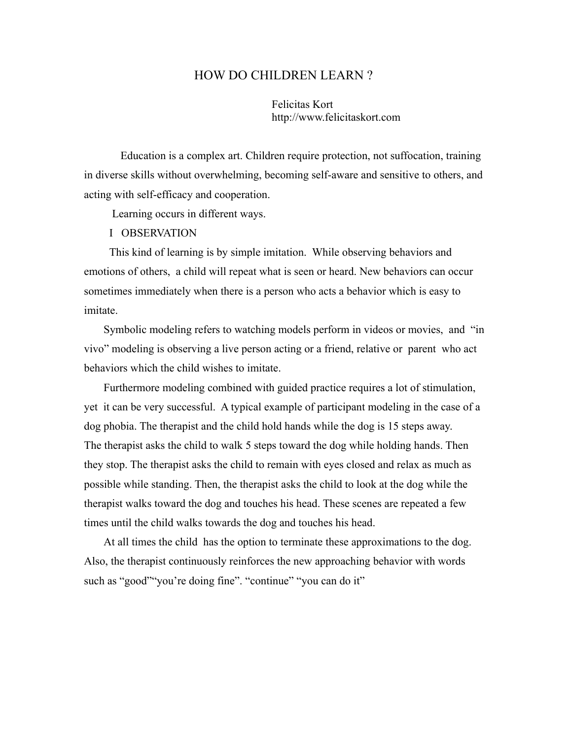## HOW DO CHILDREN LEARN ?

Felicitas Kort http://www.felicitaskort.com

Education is a complex art. Children require protection, not suffocation, training in diverse skills without overwhelming, becoming self-aware and sensitive to others, and acting with self-efficacy and cooperation.

Learning occurs in different ways.

I OBSERVATION

This kind of learning is by simple imitation. While observing behaviors and emotions of others, a child will repeat what is seen or heard. New behaviors can occur sometimes immediately when there is a person who acts a behavior which is easy to imitate.

Symbolic modeling refers to watching models perform in videos or movies, and "in vivo" modeling is observing a live person acting or a friend, relative or parent who act behaviors which the child wishes to imitate.

Furthermore modeling combined with guided practice requires a lot of stimulation, yet it can be very successful. A typical example of participant modeling in the case of a dog phobia. The therapist and the child hold hands while the dog is 15 steps away. The therapist asks the child to walk 5 steps toward the dog while holding hands. Then they stop. The therapist asks the child to remain with eyes closed and relax as much as possible while standing. Then, the therapist asks the child to look at the dog while the therapist walks toward the dog and touches his head. These scenes are repeated a few times until the child walks towards the dog and touches his head.

At all times the child has the option to terminate these approximations to the dog. Also, the therapist continuously reinforces the new approaching behavior with words such as "good" "you're doing fine". "continue" "you can do it"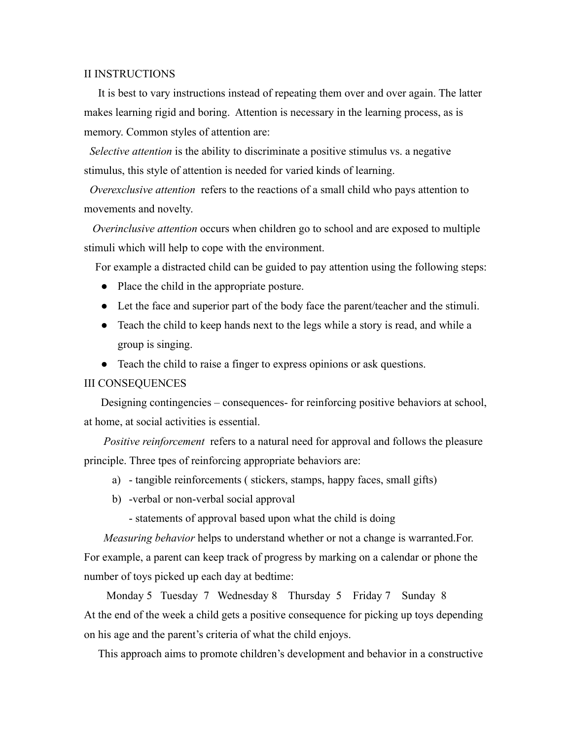## II INSTRUCTIONS

It is best to vary instructions instead of repeating them over and over again. The latter makes learning rigid and boring. Attention is necessary in the learning process, as is memory. Common styles of attention are:

*Selective attention* is the ability to discriminate a positive stimulus vs. a negative stimulus, this style of attention is needed for varied kinds of learning.

*Overexclusive attention* refers to the reactions of a small child who pays attention to movements and novelty.

*Overinclusive attention* occurs when children go to school and are exposed to multiple stimuli which will help to cope with the environment.

For example a distracted child can be guided to pay attention using the following steps:

- Place the child in the appropriate posture.
- Let the face and superior part of the body face the parent/teacher and the stimuli.
- Teach the child to keep hands next to the legs while a story is read, and while a group is singing.
- Teach the child to raise a finger to express opinions or ask questions.

## III CONSEQUENCES

Designing contingencies – consequences- for reinforcing positive behaviors at school, at home, at social activities is essential.

*Positive reinforcement* refers to a natural need for approval and follows the pleasure principle. Three tpes of reinforcing appropriate behaviors are:

- a) tangible reinforcements ( stickers, stamps, happy faces, small gifts)
- b) -verbal or non-verbal social approval

- statements of approval based upon what the child is doing

*Measuring behavior* helps to understand whether or not a change is warranted.For. For example, a parent can keep track of progress by marking on a calendar or phone the number of toys picked up each day at bedtime:

Monday 5 Tuesday 7 Wednesday 8 Thursday 5 Friday 7 Sunday 8 At the end of the week a child gets a positive consequence for picking up toys depending on his age and the parent's criteria of what the child enjoys.

This approach aims to promote children's development and behavior in a constructive